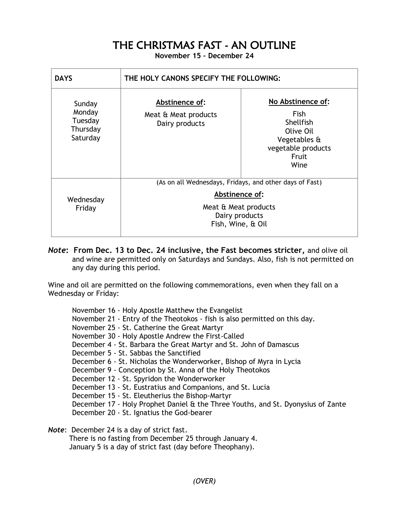## THE CHRISTMAS FAST - AN OUTLINE

**November 15 – December 24**

| <b>DAYS</b>                                         | THE HOLY CANONS SPECIFY THE FOLLOWING:                                                                                                   |                                                                                                                   |
|-----------------------------------------------------|------------------------------------------------------------------------------------------------------------------------------------------|-------------------------------------------------------------------------------------------------------------------|
| Sunday<br>Monday<br>Tuesday<br>Thursday<br>Saturday | Abstinence of:<br>Meat & Meat products<br>Dairy products                                                                                 | No Abstinence of:<br><b>Fish</b><br>Shellfish<br>Olive Oil<br>Vegetables &<br>vegetable products<br>Fruit<br>Wine |
| Wednesday<br>Friday                                 | (As on all Wednesdays, Fridays, and other days of Fast)<br>Abstinence of:<br>Meat & Meat products<br>Dairy products<br>Fish, Wine, & Oil |                                                                                                                   |

*Note***: From Dec. 13 to Dec. 24 inclusive, the Fast becomes stricter,** and olive oil and wine are permitted only on Saturdays and Sundays. Also, fish is not permitted on any day during this period.

Wine and oil are permitted on the following commemorations, even when they fall on a Wednesday or Friday:

November 16 - Holy Apostle Matthew the Evangelist November 21 - Entry of the Theotokos - fish is also permitted on this day. November 25 - St. Catherine the Great Martyr November 30 - Holy Apostle Andrew the First-Called December 4 - St. Barbara the Great Martyr and St. John of Damascus December 5 - St. Sabbas the Sanctified December 6 - St. Nicholas the Wonderworker, Bishop of Myra in Lycia December 9 - Conception by St. Anna of the Holy Theotokos December 12 - St. Spyridon the Wonderworker December 13 - St. Eustratius and Companions, and St. Lucia December 15 - St. Eleutherius the Bishop-Martyr December 17 - Holy Prophet Daniel & the Three Youths, and St. Dyonysius of Zante December 20 - St. Ignatius the God-bearer *Note*: December 24 is a day of strict fast.

There is no fasting from December 25 through January 4.

January 5 is a day of strict fast (day before Theophany).